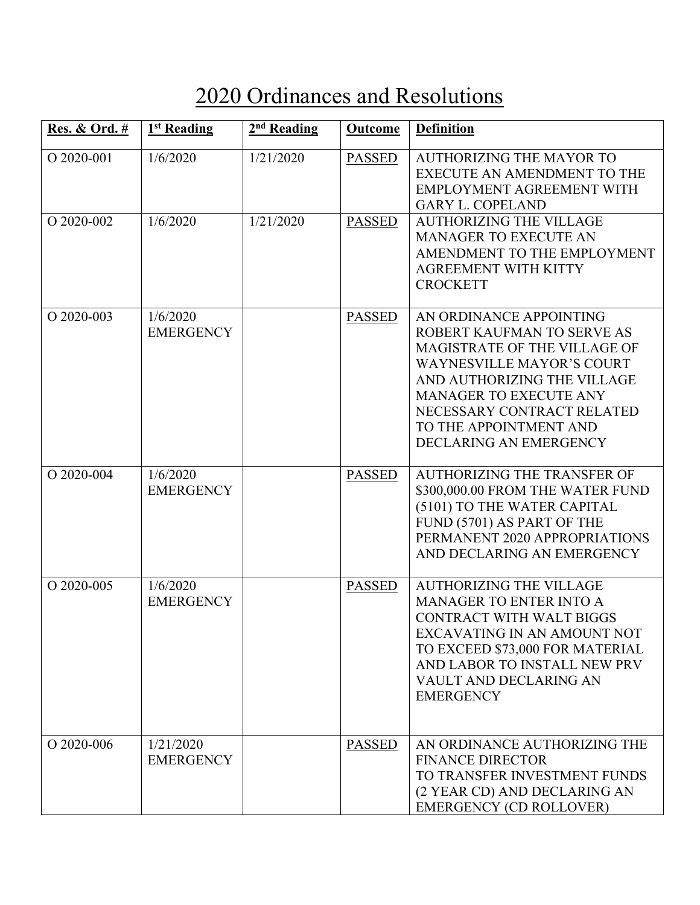## 2020 Ordinances and Resolutions

| <b>Res. &amp; Ord.</b> # | 1 <sup>st</sup> Reading       | 2 <sup>nd</sup> Reading | <b>Outcome</b> | <b>Definition</b>                                                                                                                                                                                                                                                           |
|--------------------------|-------------------------------|-------------------------|----------------|-----------------------------------------------------------------------------------------------------------------------------------------------------------------------------------------------------------------------------------------------------------------------------|
| O 2020-001               | 1/6/2020                      | 1/21/2020               | <b>PASSED</b>  | <b>AUTHORIZING THE MAYOR TO</b><br>EXECUTE AN AMENDMENT TO THE<br>EMPLOYMENT AGREEMENT WITH<br><b>GARY L. COPELAND</b>                                                                                                                                                      |
| O 2020-002               | 1/6/2020                      | 1/21/2020               | <b>PASSED</b>  | <b>AUTHORIZING THE VILLAGE</b><br><b>MANAGER TO EXECUTE AN</b><br>AMENDMENT TO THE EMPLOYMENT<br><b>AGREEMENT WITH KITTY</b><br><b>CROCKETT</b>                                                                                                                             |
| O 2020-003               | 1/6/2020<br><b>EMERGENCY</b>  |                         | <b>PASSED</b>  | AN ORDINANCE APPOINTING<br>ROBERT KAUFMAN TO SERVE AS<br>MAGISTRATE OF THE VILLAGE OF<br><b>WAYNESVILLE MAYOR'S COURT</b><br>AND AUTHORIZING THE VILLAGE<br><b>MANAGER TO EXECUTE ANY</b><br>NECESSARY CONTRACT RELATED<br>TO THE APPOINTMENT AND<br>DECLARING AN EMERGENCY |
| O 2020-004               | 1/6/2020<br><b>EMERGENCY</b>  |                         | <b>PASSED</b>  | <b>AUTHORIZING THE TRANSFER OF</b><br>\$300,000.00 FROM THE WATER FUND<br>(5101) TO THE WATER CAPITAL<br>FUND (5701) AS PART OF THE<br>PERMANENT 2020 APPROPRIATIONS<br>AND DECLARING AN EMERGENCY                                                                          |
| O 2020-005               | 1/6/2020<br><b>EMERGENCY</b>  |                         | <b>PASSED</b>  | <b>AUTHORIZING THE VILLAGE</b><br><b>MANAGER TO ENTER INTO A</b><br><b>CONTRACT WITH WALT BIGGS</b><br>EXCAVATING IN AN AMOUNT NOT<br>TO EXCEED \$73,000 FOR MATERIAL<br>AND LABOR TO INSTALL NEW PRV<br>VAULT AND DECLARING AN<br><b>EMERGENCY</b>                         |
| O 2020-006               | 1/21/2020<br><b>EMERGENCY</b> |                         | <b>PASSED</b>  | AN ORDINANCE AUTHORIZING THE<br><b>FINANCE DIRECTOR</b><br>TO TRANSFER INVESTMENT FUNDS<br>(2 YEAR CD) AND DECLARING AN<br><b>EMERGENCY (CD ROLLOVER)</b>                                                                                                                   |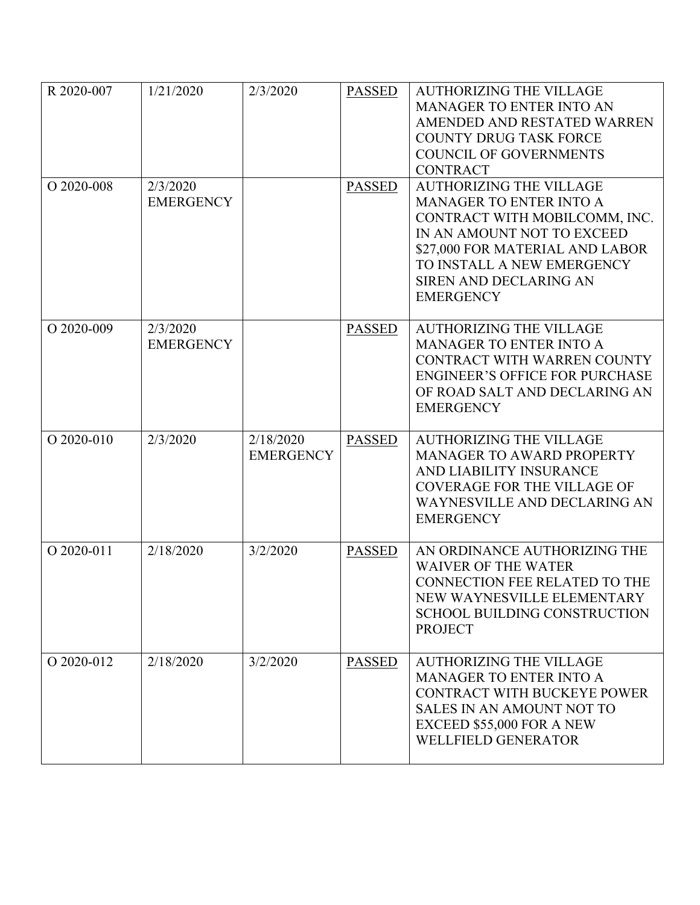| R 2020-007   | 1/21/2020                    | 2/3/2020                      | <b>PASSED</b> | <b>AUTHORIZING THE VILLAGE</b><br><b>MANAGER TO ENTER INTO AN</b><br>AMENDED AND RESTATED WARREN<br><b>COUNTY DRUG TASK FORCE</b><br><b>COUNCIL OF GOVERNMENTS</b><br><b>CONTRACT</b>                                                          |
|--------------|------------------------------|-------------------------------|---------------|------------------------------------------------------------------------------------------------------------------------------------------------------------------------------------------------------------------------------------------------|
| O 2020-008   | 2/3/2020<br><b>EMERGENCY</b> |                               | <b>PASSED</b> | <b>AUTHORIZING THE VILLAGE</b><br><b>MANAGER TO ENTER INTO A</b><br>CONTRACT WITH MOBILCOMM, INC.<br>IN AN AMOUNT NOT TO EXCEED<br>\$27,000 FOR MATERIAL AND LABOR<br>TO INSTALL A NEW EMERGENCY<br>SIREN AND DECLARING AN<br><b>EMERGENCY</b> |
| $O$ 2020-009 | 2/3/2020<br><b>EMERGENCY</b> |                               | <b>PASSED</b> | <b>AUTHORIZING THE VILLAGE</b><br><b>MANAGER TO ENTER INTO A</b><br>CONTRACT WITH WARREN COUNTY<br><b>ENGINEER'S OFFICE FOR PURCHASE</b><br>OF ROAD SALT AND DECLARING AN<br><b>EMERGENCY</b>                                                  |
| O 2020-010   | 2/3/2020                     | 2/18/2020<br><b>EMERGENCY</b> | <b>PASSED</b> | <b>AUTHORIZING THE VILLAGE</b><br><b>MANAGER TO AWARD PROPERTY</b><br>AND LIABILITY INSURANCE<br><b>COVERAGE FOR THE VILLAGE OF</b><br>WAYNESVILLE AND DECLARING AN<br><b>EMERGENCY</b>                                                        |
| O 2020-011   | 2/18/2020                    | 3/2/2020                      | <b>PASSED</b> | AN ORDINANCE AUTHORIZING THE<br><b>WAIVER OF THE WATER</b><br><b>CONNECTION FEE RELATED TO THE</b><br>NEW WAYNESVILLE ELEMENTARY<br><b>SCHOOL BUILDING CONSTRUCTION</b><br><b>PROJECT</b>                                                      |
| O 2020-012   | 2/18/2020                    | 3/2/2020                      | <b>PASSED</b> | <b>AUTHORIZING THE VILLAGE</b><br><b>MANAGER TO ENTER INTO A</b><br>CONTRACT WITH BUCKEYE POWER<br>SALES IN AN AMOUNT NOT TO<br>EXCEED \$55,000 FOR A NEW<br><b>WELLFIELD GENERATOR</b>                                                        |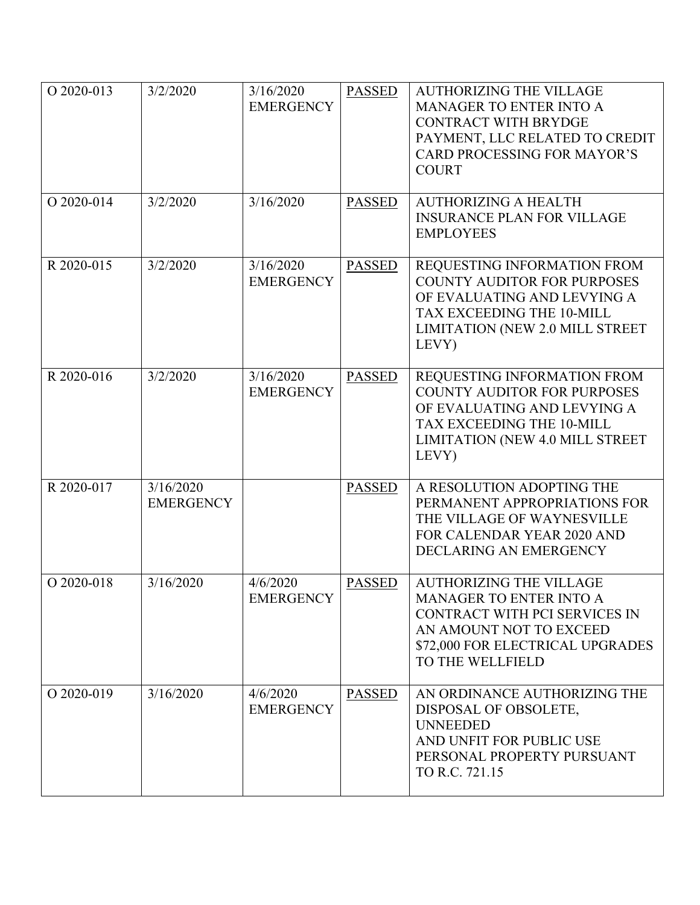| O 2020-013 | 3/2/2020                      | 3/16/2020<br><b>EMERGENCY</b> | <b>PASSED</b> | <b>AUTHORIZING THE VILLAGE</b><br><b>MANAGER TO ENTER INTO A</b><br><b>CONTRACT WITH BRYDGE</b><br>PAYMENT, LLC RELATED TO CREDIT<br><b>CARD PROCESSING FOR MAYOR'S</b><br><b>COURT</b> |
|------------|-------------------------------|-------------------------------|---------------|-----------------------------------------------------------------------------------------------------------------------------------------------------------------------------------------|
| O 2020-014 | 3/2/2020                      | 3/16/2020                     | <b>PASSED</b> | <b>AUTHORIZING A HEALTH</b><br><b>INSURANCE PLAN FOR VILLAGE</b><br><b>EMPLOYEES</b>                                                                                                    |
| R 2020-015 | 3/2/2020                      | 3/16/2020<br><b>EMERGENCY</b> | <b>PASSED</b> | REQUESTING INFORMATION FROM<br><b>COUNTY AUDITOR FOR PURPOSES</b><br>OF EVALUATING AND LEVYING A<br><b>TAX EXCEEDING THE 10-MILL</b><br>LIMITATION (NEW 2.0 MILL STREET<br>LEVY)        |
| R 2020-016 | 3/2/2020                      | 3/16/2020<br><b>EMERGENCY</b> | <b>PASSED</b> | REQUESTING INFORMATION FROM<br><b>COUNTY AUDITOR FOR PURPOSES</b><br>OF EVALUATING AND LEVYING A<br>TAX EXCEEDING THE 10-MILL<br>LIMITATION (NEW 4.0 MILL STREET<br>LEVY)               |
| R 2020-017 | 3/16/2020<br><b>EMERGENCY</b> |                               | <b>PASSED</b> | A RESOLUTION ADOPTING THE<br>PERMANENT APPROPRIATIONS FOR<br>THE VILLAGE OF WAYNESVILLE<br>FOR CALENDAR YEAR 2020 AND<br>DECLARING AN EMERGENCY                                         |
| O 2020-018 | 3/16/2020                     | 4/6/2020<br><b>EMERGENCY</b>  | <b>PASSED</b> | <b>AUTHORIZING THE VILLAGE</b><br><b>MANAGER TO ENTER INTO A</b><br>CONTRACT WITH PCI SERVICES IN<br>AN AMOUNT NOT TO EXCEED<br>\$72,000 FOR ELECTRICAL UPGRADES<br>TO THE WELLFIELD    |
| O 2020-019 | 3/16/2020                     | 4/6/2020<br><b>EMERGENCY</b>  | <b>PASSED</b> | AN ORDINANCE AUTHORIZING THE<br>DISPOSAL OF OBSOLETE,<br><b>UNNEEDED</b><br>AND UNFIT FOR PUBLIC USE<br>PERSONAL PROPERTY PURSUANT<br>TO R.C. 721.15                                    |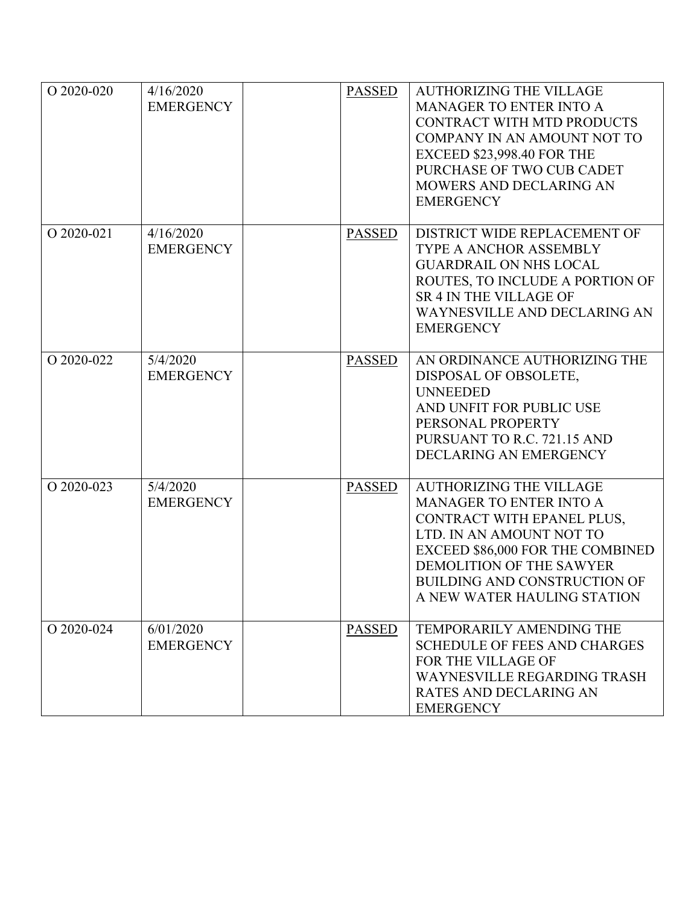| O 2020-020 | 4/16/2020<br><b>EMERGENCY</b> | <b>PASSED</b> | <b>AUTHORIZING THE VILLAGE</b><br>MANAGER TO ENTER INTO A<br>CONTRACT WITH MTD PRODUCTS<br>COMPANY IN AN AMOUNT NOT TO<br><b>EXCEED \$23,998.40 FOR THE</b><br>PURCHASE OF TWO CUB CADET<br>MOWERS AND DECLARING AN<br><b>EMERGENCY</b>                   |
|------------|-------------------------------|---------------|-----------------------------------------------------------------------------------------------------------------------------------------------------------------------------------------------------------------------------------------------------------|
| O 2020-021 | 4/16/2020<br><b>EMERGENCY</b> | <b>PASSED</b> | DISTRICT WIDE REPLACEMENT OF<br><b>TYPE A ANCHOR ASSEMBLY</b><br><b>GUARDRAIL ON NHS LOCAL</b><br>ROUTES, TO INCLUDE A PORTION OF<br><b>SR 4 IN THE VILLAGE OF</b><br>WAYNESVILLE AND DECLARING AN<br><b>EMERGENCY</b>                                    |
| O 2020-022 | 5/4/2020<br><b>EMERGENCY</b>  | <b>PASSED</b> | AN ORDINANCE AUTHORIZING THE<br>DISPOSAL OF OBSOLETE,<br><b>UNNEEDED</b><br>AND UNFIT FOR PUBLIC USE<br>PERSONAL PROPERTY<br>PURSUANT TO R.C. 721.15 AND<br>DECLARING AN EMERGENCY                                                                        |
| O 2020-023 | 5/4/2020<br><b>EMERGENCY</b>  | <b>PASSED</b> | <b>AUTHORIZING THE VILLAGE</b><br>MANAGER TO ENTER INTO A<br>CONTRACT WITH EPANEL PLUS,<br>LTD. IN AN AMOUNT NOT TO<br>EXCEED \$86,000 FOR THE COMBINED<br>DEMOLITION OF THE SAWYER<br><b>BUILDING AND CONSTRUCTION OF</b><br>A NEW WATER HAULING STATION |
| O 2020-024 | 6/01/2020<br><b>EMERGENCY</b> | <b>PASSED</b> | TEMPORARILY AMENDING THE<br><b>SCHEDULE OF FEES AND CHARGES</b><br>FOR THE VILLAGE OF<br><b>WAYNESVILLE REGARDING TRASH</b><br>RATES AND DECLARING AN<br><b>EMERGENCY</b>                                                                                 |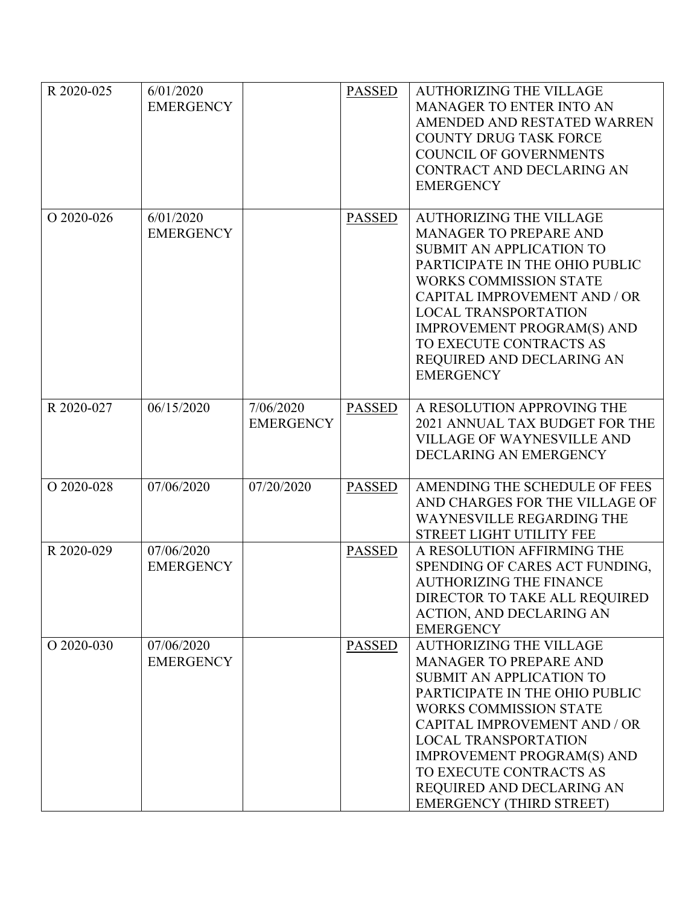| R 2020-025 | 6/01/2020<br><b>EMERGENCY</b>  |                               | <b>PASSED</b> | <b>AUTHORIZING THE VILLAGE</b><br>MANAGER TO ENTER INTO AN<br>AMENDED AND RESTATED WARREN<br><b>COUNTY DRUG TASK FORCE</b><br><b>COUNCIL OF GOVERNMENTS</b><br>CONTRACT AND DECLARING AN<br><b>EMERGENCY</b>                                                                                                                                                  |
|------------|--------------------------------|-------------------------------|---------------|---------------------------------------------------------------------------------------------------------------------------------------------------------------------------------------------------------------------------------------------------------------------------------------------------------------------------------------------------------------|
| O 2020-026 | 6/01/2020<br><b>EMERGENCY</b>  |                               | <b>PASSED</b> | <b>AUTHORIZING THE VILLAGE</b><br><b>MANAGER TO PREPARE AND</b><br>SUBMIT AN APPLICATION TO<br>PARTICIPATE IN THE OHIO PUBLIC<br><b>WORKS COMMISSION STATE</b><br>CAPITAL IMPROVEMENT AND / OR<br><b>LOCAL TRANSPORTATION</b><br><b>IMPROVEMENT PROGRAM(S) AND</b><br>TO EXECUTE CONTRACTS AS<br>REQUIRED AND DECLARING AN<br><b>EMERGENCY</b>                |
| R 2020-027 | 06/15/2020                     | 7/06/2020<br><b>EMERGENCY</b> | <b>PASSED</b> | A RESOLUTION APPROVING THE<br>2021 ANNUAL TAX BUDGET FOR THE<br><b>VILLAGE OF WAYNESVILLE AND</b><br>DECLARING AN EMERGENCY                                                                                                                                                                                                                                   |
| O 2020-028 | 07/06/2020                     | 07/20/2020                    | <b>PASSED</b> | AMENDING THE SCHEDULE OF FEES<br>AND CHARGES FOR THE VILLAGE OF<br><b>WAYNESVILLE REGARDING THE</b><br><b>STREET LIGHT UTILITY FEE</b>                                                                                                                                                                                                                        |
| R 2020-029 | 07/06/2020<br><b>EMERGENCY</b> |                               | <b>PASSED</b> | A RESOLUTION AFFIRMING THE<br>SPENDING OF CARES ACT FUNDING,<br><b>AUTHORIZING THE FINANCE</b><br>DIRECTOR TO TAKE ALL REQUIRED<br><b>ACTION, AND DECLARING AN</b><br><b>EMERGENCY</b>                                                                                                                                                                        |
| O 2020-030 | 07/06/2020<br><b>EMERGENCY</b> |                               | <b>PASSED</b> | <b>AUTHORIZING THE VILLAGE</b><br><b>MANAGER TO PREPARE AND</b><br>SUBMIT AN APPLICATION TO<br>PARTICIPATE IN THE OHIO PUBLIC<br><b>WORKS COMMISSION STATE</b><br>CAPITAL IMPROVEMENT AND / OR<br><b>LOCAL TRANSPORTATION</b><br><b>IMPROVEMENT PROGRAM(S) AND</b><br>TO EXECUTE CONTRACTS AS<br>REQUIRED AND DECLARING AN<br><b>EMERGENCY (THIRD STREET)</b> |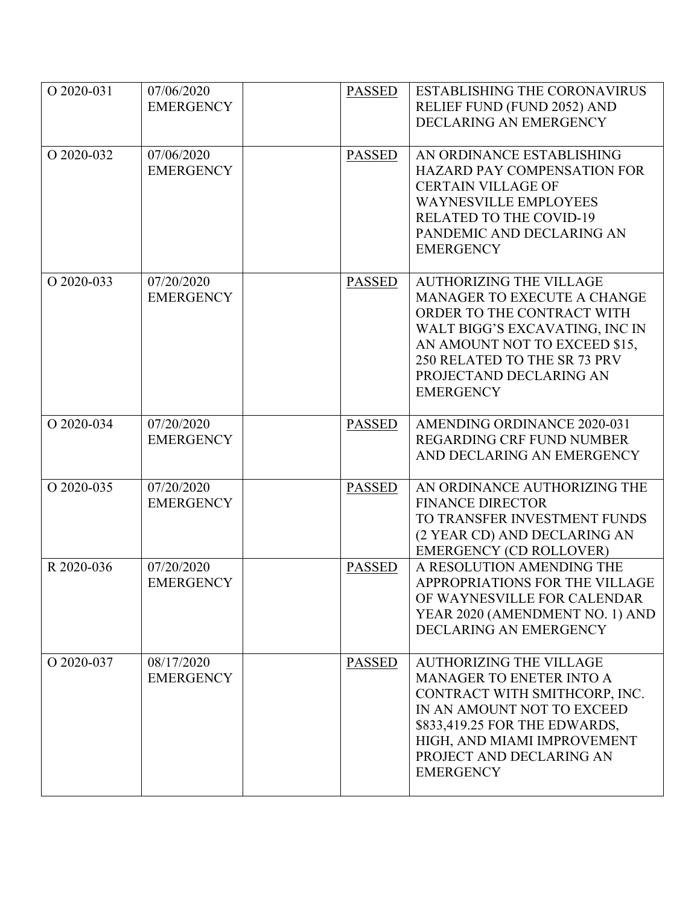| O 2020-031 | 07/06/2020<br><b>EMERGENCY</b> | <b>PASSED</b> | <b>ESTABLISHING THE CORONAVIRUS</b><br>RELIEF FUND (FUND 2052) AND<br>DECLARING AN EMERGENCY                                                                                                                                                     |
|------------|--------------------------------|---------------|--------------------------------------------------------------------------------------------------------------------------------------------------------------------------------------------------------------------------------------------------|
| O 2020-032 | 07/06/2020<br><b>EMERGENCY</b> | <b>PASSED</b> | AN ORDINANCE ESTABLISHING<br><b>HAZARD PAY COMPENSATION FOR</b><br><b>CERTAIN VILLAGE OF</b><br><b>WAYNESVILLE EMPLOYEES</b><br><b>RELATED TO THE COVID-19</b><br>PANDEMIC AND DECLARING AN<br><b>EMERGENCY</b>                                  |
| O 2020-033 | 07/20/2020<br><b>EMERGENCY</b> | <b>PASSED</b> | <b>AUTHORIZING THE VILLAGE</b><br>MANAGER TO EXECUTE A CHANGE<br>ORDER TO THE CONTRACT WITH<br>WALT BIGG'S EXCAVATING, INC IN<br>AN AMOUNT NOT TO EXCEED \$15,<br>250 RELATED TO THE SR 73 PRV<br>PROJECTAND DECLARING AN<br><b>EMERGENCY</b>    |
| O 2020-034 | 07/20/2020<br><b>EMERGENCY</b> | <b>PASSED</b> | AMENDING ORDINANCE 2020-031<br><b>REGARDING CRF FUND NUMBER</b><br>AND DECLARING AN EMERGENCY                                                                                                                                                    |
| O 2020-035 | 07/20/2020<br><b>EMERGENCY</b> | <b>PASSED</b> | AN ORDINANCE AUTHORIZING THE<br><b>FINANCE DIRECTOR</b><br>TO TRANSFER INVESTMENT FUNDS<br>(2 YEAR CD) AND DECLARING AN<br><b>EMERGENCY (CD ROLLOVER)</b>                                                                                        |
| R 2020-036 | 07/20/2020<br><b>EMERGENCY</b> | <b>PASSED</b> | A RESOLUTION AMENDING THE<br>APPROPRIATIONS FOR THE VILLAGE<br>OF WAYNESVILLE FOR CALENDAR<br>YEAR 2020 (AMENDMENT NO. 1) AND<br>DECLARING AN EMERGENCY                                                                                          |
| O 2020-037 | 08/17/2020<br><b>EMERGENCY</b> | <b>PASSED</b> | <b>AUTHORIZING THE VILLAGE</b><br><b>MANAGER TO ENETER INTO A</b><br>CONTRACT WITH SMITHCORP, INC.<br>IN AN AMOUNT NOT TO EXCEED<br>\$833,419.25 FOR THE EDWARDS,<br>HIGH, AND MIAMI IMPROVEMENT<br>PROJECT AND DECLARING AN<br><b>EMERGENCY</b> |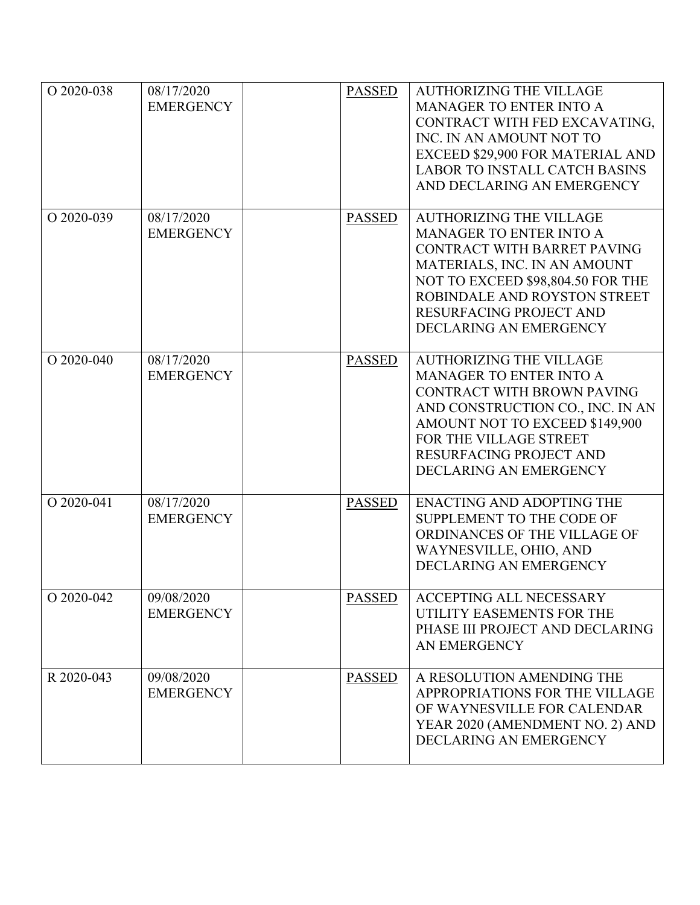| O 2020-038 | 08/17/2020<br><b>EMERGENCY</b> | <b>PASSED</b> | <b>AUTHORIZING THE VILLAGE</b><br>MANAGER TO ENTER INTO A<br>CONTRACT WITH FED EXCAVATING,<br>INC. IN AN AMOUNT NOT TO<br>EXCEED \$29,900 FOR MATERIAL AND<br><b>LABOR TO INSTALL CATCH BASINS</b><br>AND DECLARING AN EMERGENCY                          |
|------------|--------------------------------|---------------|-----------------------------------------------------------------------------------------------------------------------------------------------------------------------------------------------------------------------------------------------------------|
| O 2020-039 | 08/17/2020<br><b>EMERGENCY</b> | <b>PASSED</b> | <b>AUTHORIZING THE VILLAGE</b><br><b>MANAGER TO ENTER INTO A</b><br>CONTRACT WITH BARRET PAVING<br>MATERIALS, INC. IN AN AMOUNT<br>NOT TO EXCEED \$98,804.50 FOR THE<br>ROBINDALE AND ROYSTON STREET<br>RESURFACING PROJECT AND<br>DECLARING AN EMERGENCY |
| O 2020-040 | 08/17/2020<br><b>EMERGENCY</b> | <b>PASSED</b> | <b>AUTHORIZING THE VILLAGE</b><br><b>MANAGER TO ENTER INTO A</b><br>CONTRACT WITH BROWN PAVING<br>AND CONSTRUCTION CO., INC. IN AN<br>AMOUNT NOT TO EXCEED \$149,900<br>FOR THE VILLAGE STREET<br>RESURFACING PROJECT AND<br>DECLARING AN EMERGENCY       |
| O 2020-041 | 08/17/2020<br><b>EMERGENCY</b> | <b>PASSED</b> | <b>ENACTING AND ADOPTING THE</b><br>SUPPLEMENT TO THE CODE OF<br>ORDINANCES OF THE VILLAGE OF<br>WAYNESVILLE, OHIO, AND<br>DECLARING AN EMERGENCY                                                                                                         |
| O 2020-042 | 09/08/2020<br><b>EMERGENCY</b> | <b>PASSED</b> | <b>ACCEPTING ALL NECESSARY</b><br>UTILITY EASEMENTS FOR THE<br>PHASE III PROJECT AND DECLARING<br>AN EMERGENCY                                                                                                                                            |
| R 2020-043 | 09/08/2020<br><b>EMERGENCY</b> | <b>PASSED</b> | A RESOLUTION AMENDING THE<br>APPROPRIATIONS FOR THE VILLAGE<br>OF WAYNESVILLE FOR CALENDAR<br>YEAR 2020 (AMENDMENT NO. 2) AND<br>DECLARING AN EMERGENCY                                                                                                   |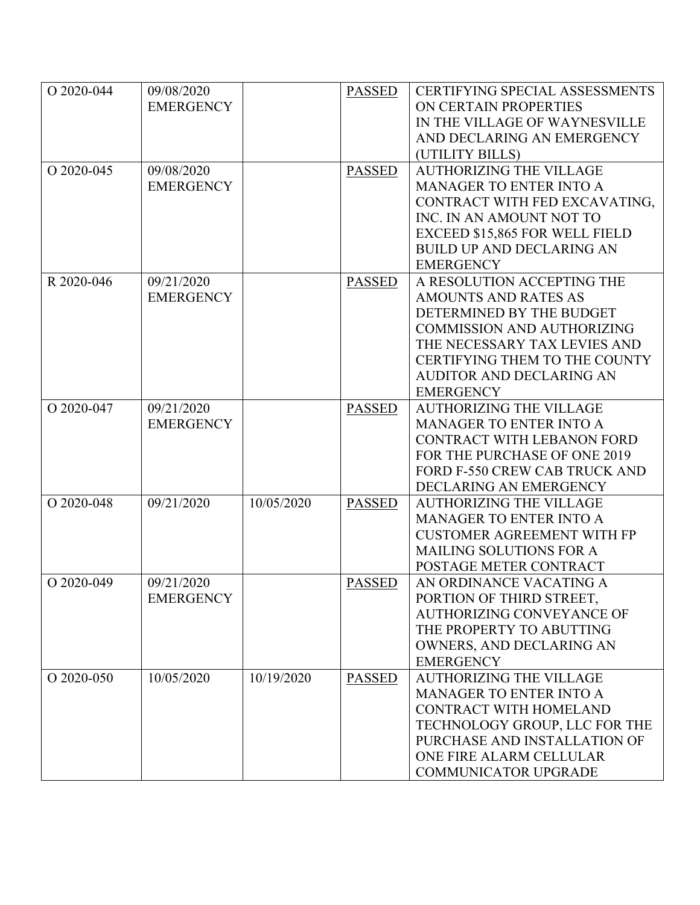| O 2020-044 | 09/08/2020       |            | <b>PASSED</b> | <b>CERTIFYING SPECIAL ASSESSMENTS</b> |
|------------|------------------|------------|---------------|---------------------------------------|
|            | <b>EMERGENCY</b> |            |               | ON CERTAIN PROPERTIES                 |
|            |                  |            |               | IN THE VILLAGE OF WAYNESVILLE         |
|            |                  |            |               | AND DECLARING AN EMERGENCY            |
|            |                  |            |               | (UTILITY BILLS)                       |
| O 2020-045 | 09/08/2020       |            | <b>PASSED</b> | <b>AUTHORIZING THE VILLAGE</b>        |
|            | <b>EMERGENCY</b> |            |               | <b>MANAGER TO ENTER INTO A</b>        |
|            |                  |            |               | CONTRACT WITH FED EXCAVATING,         |
|            |                  |            |               | INC. IN AN AMOUNT NOT TO              |
|            |                  |            |               | EXCEED \$15,865 FOR WELL FIELD        |
|            |                  |            |               | <b>BUILD UP AND DECLARING AN</b>      |
|            |                  |            |               | <b>EMERGENCY</b>                      |
| R 2020-046 | 09/21/2020       |            | <b>PASSED</b> | A RESOLUTION ACCEPTING THE            |
|            | <b>EMERGENCY</b> |            |               | <b>AMOUNTS AND RATES AS</b>           |
|            |                  |            |               | DETERMINED BY THE BUDGET              |
|            |                  |            |               | <b>COMMISSION AND AUTHORIZING</b>     |
|            |                  |            |               | THE NECESSARY TAX LEVIES AND          |
|            |                  |            |               | CERTIFYING THEM TO THE COUNTY         |
|            |                  |            |               | <b>AUDITOR AND DECLARING AN</b>       |
|            |                  |            |               | <b>EMERGENCY</b>                      |
| O 2020-047 | 09/21/2020       |            | <b>PASSED</b> | <b>AUTHORIZING THE VILLAGE</b>        |
|            | <b>EMERGENCY</b> |            |               | <b>MANAGER TO ENTER INTO A</b>        |
|            |                  |            |               | CONTRACT WITH LEBANON FORD            |
|            |                  |            |               | FOR THE PURCHASE OF ONE 2019          |
|            |                  |            |               | FORD F-550 CREW CAB TRUCK AND         |
|            |                  |            |               | DECLARING AN EMERGENCY                |
| O 2020-048 | 09/21/2020       | 10/05/2020 | <b>PASSED</b> | <b>AUTHORIZING THE VILLAGE</b>        |
|            |                  |            |               | <b>MANAGER TO ENTER INTO A</b>        |
|            |                  |            |               | <b>CUSTOMER AGREEMENT WITH FP</b>     |
|            |                  |            |               | <b>MAILING SOLUTIONS FOR A</b>        |
|            |                  |            |               | POSTAGE METER CONTRACT                |
| O 2020-049 | 09/21/2020       |            | <b>PASSED</b> | AN ORDINANCE VACATING A               |
|            | <b>EMERGENCY</b> |            |               | PORTION OF THIRD STREET,              |
|            |                  |            |               | <b>AUTHORIZING CONVEYANCE OF</b>      |
|            |                  |            |               | THE PROPERTY TO ABUTTING              |
|            |                  |            |               | OWNERS, AND DECLARING AN              |
|            |                  |            |               | <b>EMERGENCY</b>                      |
| O 2020-050 | 10/05/2020       | 10/19/2020 | <b>PASSED</b> | <b>AUTHORIZING THE VILLAGE</b>        |
|            |                  |            |               | <b>MANAGER TO ENTER INTO A</b>        |
|            |                  |            |               | CONTRACT WITH HOMELAND                |
|            |                  |            |               | TECHNOLOGY GROUP, LLC FOR THE         |
|            |                  |            |               | PURCHASE AND INSTALLATION OF          |
|            |                  |            |               | ONE FIRE ALARM CELLULAR               |
|            |                  |            |               | <b>COMMUNICATOR UPGRADE</b>           |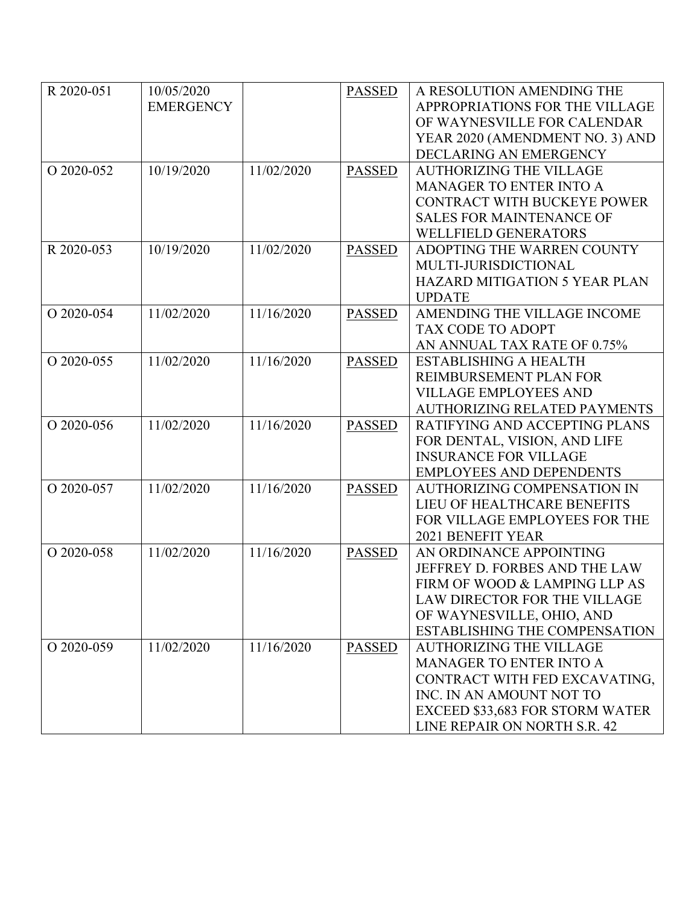| R 2020-051 | 10/05/2020       |            | <b>PASSED</b> | A RESOLUTION AMENDING THE            |
|------------|------------------|------------|---------------|--------------------------------------|
|            | <b>EMERGENCY</b> |            |               | APPROPRIATIONS FOR THE VILLAGE       |
|            |                  |            |               | OF WAYNESVILLE FOR CALENDAR          |
|            |                  |            |               | YEAR 2020 (AMENDMENT NO. 3) AND      |
|            |                  |            |               | DECLARING AN EMERGENCY               |
| O 2020-052 | 10/19/2020       | 11/02/2020 | <b>PASSED</b> | <b>AUTHORIZING THE VILLAGE</b>       |
|            |                  |            |               | <b>MANAGER TO ENTER INTO A</b>       |
|            |                  |            |               | CONTRACT WITH BUCKEYE POWER          |
|            |                  |            |               | <b>SALES FOR MAINTENANCE OF</b>      |
|            |                  |            |               | <b>WELLFIELD GENERATORS</b>          |
| R 2020-053 | 10/19/2020       | 11/02/2020 | <b>PASSED</b> | ADOPTING THE WARREN COUNTY           |
|            |                  |            |               | MULTI-JURISDICTIONAL                 |
|            |                  |            |               | <b>HAZARD MITIGATION 5 YEAR PLAN</b> |
|            |                  |            |               | <b>UPDATE</b>                        |
| O 2020-054 | 11/02/2020       | 11/16/2020 | <b>PASSED</b> | AMENDING THE VILLAGE INCOME          |
|            |                  |            |               | <b>TAX CODE TO ADOPT</b>             |
|            |                  |            |               | AN ANNUAL TAX RATE OF 0.75%          |
| O 2020-055 | 11/02/2020       | 11/16/2020 | <b>PASSED</b> | <b>ESTABLISHING A HEALTH</b>         |
|            |                  |            |               | REIMBURSEMENT PLAN FOR               |
|            |                  |            |               | <b>VILLAGE EMPLOYEES AND</b>         |
|            |                  |            |               | <b>AUTHORIZING RELATED PAYMENTS</b>  |
| O 2020-056 | 11/02/2020       | 11/16/2020 | <b>PASSED</b> | RATIFYING AND ACCEPTING PLANS        |
|            |                  |            |               | FOR DENTAL, VISION, AND LIFE         |
|            |                  |            |               | <b>INSURANCE FOR VILLAGE</b>         |
|            |                  |            |               | <b>EMPLOYEES AND DEPENDENTS</b>      |
| O 2020-057 | 11/02/2020       | 11/16/2020 | <b>PASSED</b> | <b>AUTHORIZING COMPENSATION IN</b>   |
|            |                  |            |               | LIEU OF HEALTHCARE BENEFITS          |
|            |                  |            |               | FOR VILLAGE EMPLOYEES FOR THE        |
|            |                  |            |               | 2021 BENEFIT YEAR                    |
| O 2020-058 | 11/02/2020       | 11/16/2020 | <b>PASSED</b> | AN ORDINANCE APPOINTING              |
|            |                  |            |               | JEFFREY D. FORBES AND THE LAW        |
|            |                  |            |               | FIRM OF WOOD & LAMPING LLP AS        |
|            |                  |            |               | LAW DIRECTOR FOR THE VILLAGE         |
|            |                  |            |               | OF WAYNESVILLE, OHIO, AND            |
|            |                  |            |               | <b>ESTABLISHING THE COMPENSATION</b> |
| O 2020-059 | 11/02/2020       | 11/16/2020 | <b>PASSED</b> | <b>AUTHORIZING THE VILLAGE</b>       |
|            |                  |            |               | <b>MANAGER TO ENTER INTO A</b>       |
|            |                  |            |               | CONTRACT WITH FED EXCAVATING,        |
|            |                  |            |               | INC. IN AN AMOUNT NOT TO             |
|            |                  |            |               | EXCEED \$33,683 FOR STORM WATER      |
|            |                  |            |               | LINE REPAIR ON NORTH S.R. 42         |